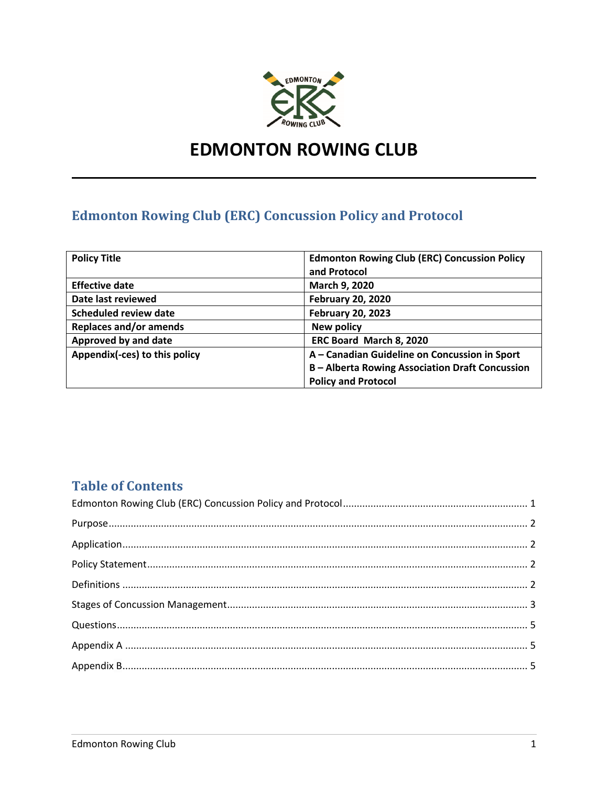

# **EDMONTON ROWING CLUB**

## **Edmonton Rowing Club (ERC) Concussion Policy and Protocol**

| <b>Policy Title</b>           | <b>Edmonton Rowing Club (ERC) Concussion Policy</b>  |
|-------------------------------|------------------------------------------------------|
|                               | and Protocol                                         |
| <b>Effective date</b>         | March 9, 2020                                        |
| Date last reviewed            | <b>February 20, 2020</b>                             |
| <b>Scheduled review date</b>  | <b>February 20, 2023</b>                             |
| <b>Replaces and/or amends</b> | <b>New policy</b>                                    |
| Approved by and date          | ERC Board March 8, 2020                              |
| Appendix(-ces) to this policy | A - Canadian Guideline on Concussion in Sport        |
|                               | <b>B-Alberta Rowing Association Draft Concussion</b> |
|                               | <b>Policy and Protocol</b>                           |

### **Table of Contents**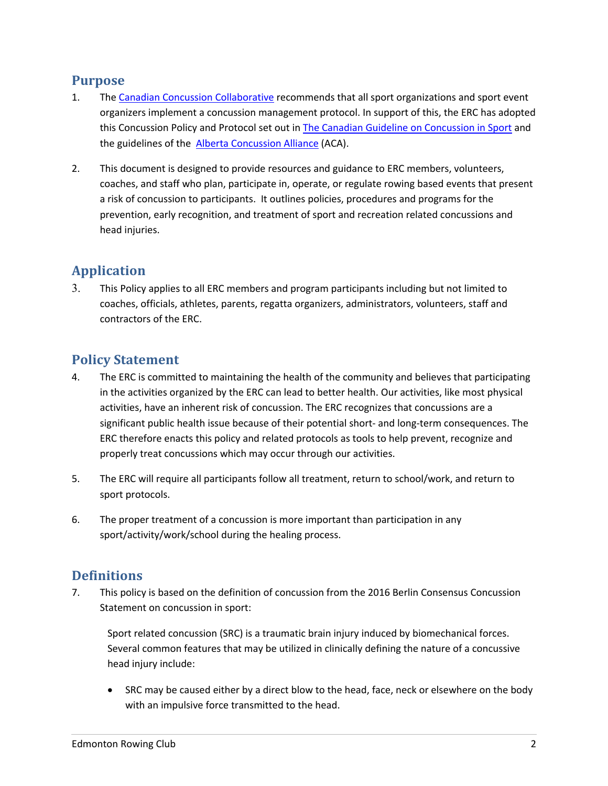#### **Purpose**

- 1. The Canadian Concussion Collaborative recommends that all sport organizations and sport event organizers implement a concussion management protocol. In support of this, the ERC has adopted this Concussion Policy and Protocol set out in The Canadian Guideline on Concussion in Sport and the guidelines of the Alberta Concussion Alliance (ACA).
- 2. This document is designed to provide resources and guidance to ERC members, volunteers, coaches, and staff who plan, participate in, operate, or regulate rowing based events that present a risk of concussion to participants. It outlines policies, procedures and programs for the prevention, early recognition, and treatment of sport and recreation related concussions and head injuries.

#### **Application**

3. This Policy applies to all ERC members and program participants including but not limited to coaches, officials, athletes, parents, regatta organizers, administrators, volunteers, staff and contractors of the ERC.

#### **Policy Statement**

- 4. The ERC is committed to maintaining the health of the community and believes that participating in the activities organized by the ERC can lead to better health. Our activities, like most physical activities, have an inherent risk of concussion. The ERC recognizes that concussions are a significant public health issue because of their potential short- and long-term consequences. The ERC therefore enacts this policy and related protocols as tools to help prevent, recognize and properly treat concussions which may occur through our activities.
- 5. The ERC will require all participants follow all treatment, return to school/work, and return to sport protocols.
- 6. The proper treatment of a concussion is more important than participation in any sport/activity/work/school during the healing process.

#### **Definitions**

7. This policy is based on the definition of concussion from the 2016 Berlin Consensus Concussion Statement on concussion in sport:

Sport related concussion (SRC) is a traumatic brain injury induced by biomechanical forces. Several common features that may be utilized in clinically defining the nature of a concussive head injury include:

• SRC may be caused either by a direct blow to the head, face, neck or elsewhere on the body with an impulsive force transmitted to the head.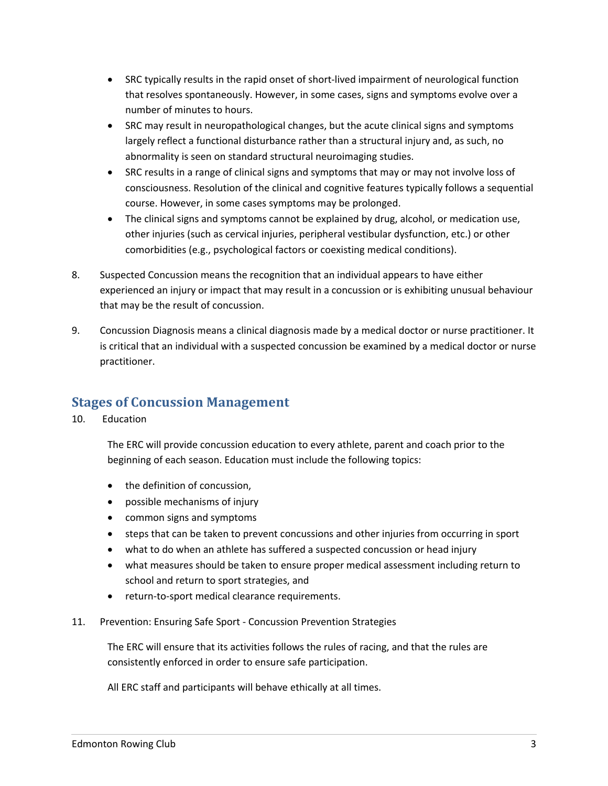- SRC typically results in the rapid onset of short-lived impairment of neurological function that resolves spontaneously. However, in some cases, signs and symptoms evolve over a number of minutes to hours.
- SRC may result in neuropathological changes, but the acute clinical signs and symptoms largely reflect a functional disturbance rather than a structural injury and, as such, no abnormality is seen on standard structural neuroimaging studies.
- SRC results in a range of clinical signs and symptoms that may or may not involve loss of consciousness. Resolution of the clinical and cognitive features typically follows a sequential course. However, in some cases symptoms may be prolonged.
- The clinical signs and symptoms cannot be explained by drug, alcohol, or medication use, other injuries (such as cervical injuries, peripheral vestibular dysfunction, etc.) or other comorbidities (e.g., psychological factors or coexisting medical conditions).
- 8. Suspected Concussion means the recognition that an individual appears to have either experienced an injury or impact that may result in a concussion or is exhibiting unusual behaviour that may be the result of concussion.
- 9. Concussion Diagnosis means a clinical diagnosis made by a medical doctor or nurse practitioner. It is critical that an individual with a suspected concussion be examined by a medical doctor or nurse practitioner.

#### **Stages of Concussion Management**

10. Education

The ERC will provide concussion education to every athlete, parent and coach prior to the beginning of each season. Education must include the following topics:

- the definition of concussion,
- possible mechanisms of injury
- common signs and symptoms
- steps that can be taken to prevent concussions and other injuries from occurring in sport
- what to do when an athlete has suffered a suspected concussion or head injury
- what measures should be taken to ensure proper medical assessment including return to school and return to sport strategies, and
- return-to-sport medical clearance requirements.
- 11. Prevention: Ensuring Safe Sport Concussion Prevention Strategies

The ERC will ensure that its activities follows the rules of racing, and that the rules are consistently enforced in order to ensure safe participation.

All ERC staff and participants will behave ethically at all times.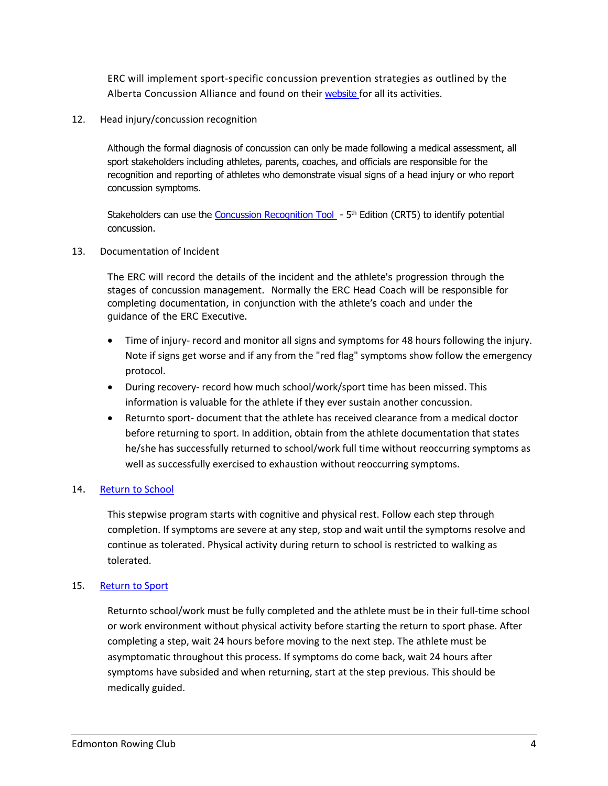ERC will implement sport-specific concussion prevention strategies as outlined by the Alberta Concussion Alliance and found on their website for all its activities.

12. Head injury/concussion recognition

Although the formal diagnosis of concussion can only be made following a medical assessment, all sport stakeholders including athletes, parents, coaches, and officials are responsible for the recognition and reporting of athletes who demonstrate visual signs of a head injury or who report concussion symptoms.

Stakeholders can use the Concussion Recognition Tool - 5<sup>th</sup> Edition (CRT5) to identify potential concussion.

13. Documentation of Incident

The ERC will record the details of the incident and the athlete's progression through the stages of concussion management. Normally the ERC Head Coach will be responsible for completing documentation, in conjunction with the athlete's coach and under the guidance of the ERC Executive.

- Time of injury- record and monitor all signs and symptoms for 48 hours following the injury. Note if signs get worse and if any from the "red flag" symptoms show follow the emergency protocol.
- During recovery- record how much school/work/sport time has been missed. This information is valuable for the athlete if they ever sustain another concussion.
- Returnto sport- document that the athlete has received clearance from a medical doctor before returning to sport. In addition, obtain from the athlete documentation that states he/she has successfully returned to school/work full time without reoccurring symptoms as well as successfully exercised to exhaustion without reoccurring symptoms.

#### 14. Return to School

This stepwise program starts with cognitive and physical rest. Follow each step through completion. If symptoms are severe at any step, stop and wait until the symptoms resolve and continue as tolerated. Physical activity during return to school is restricted to walking as tolerated.

#### 15. Return to Sport

Returnto school/work must be fully completed and the athlete must be in their full-time school or work environment without physical activity before starting the return to sport phase. After completing a step, wait 24 hours before moving to the next step. The athlete must be asymptomatic throughout this process. If symptoms do come back, wait 24 hours after symptoms have subsided and when returning, start at the step previous. This should be medically guided.